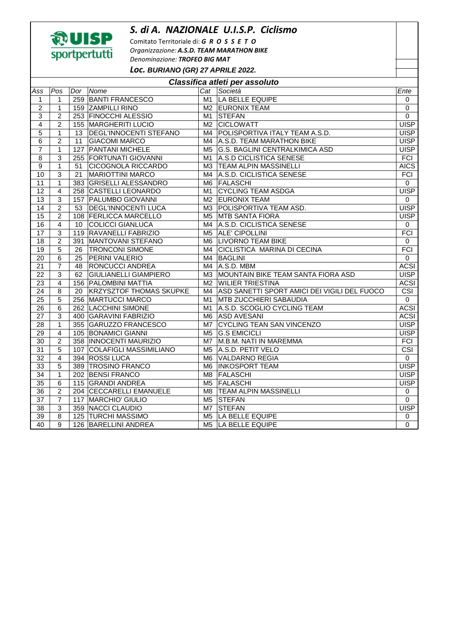## *S. di A. NAZIONALE U.I.S.P. Ciclismo*



Comitato Territoriale di: *G R O S S E T O Organizzazione: A.S.D. TEAM MARATHON BIKE Denominazione: TROFEO BIG MAT*

*Loc.* **BURIANO (GR) 27 APRILE 2022.** 

| Classifica atleti per assoluto |                |     |                              |                |                                              |                |  |  |  |  |  |
|--------------------------------|----------------|-----|------------------------------|----------------|----------------------------------------------|----------------|--|--|--|--|--|
| Ass                            | Pos            | Dor | Nome                         |                | Cat Società                                  | Ente           |  |  |  |  |  |
| $\mathbf{1}$                   | $\mathbf{1}$   |     | 259 BANTI FRANCESCO          | M1             | LA BELLE EQUIPE                              | 0              |  |  |  |  |  |
| 2                              | 1              |     | 159 ZAMPILLI RINO            | M <sub>2</sub> | <b>EURONIX TEAM</b>                          | 0              |  |  |  |  |  |
| 3                              | $\overline{2}$ |     | 253 FINOCCHI ALESSIO         | M <sub>1</sub> | <b>STEFAN</b>                                | $\overline{0}$ |  |  |  |  |  |
| 4                              | $\overline{2}$ |     | 155 MARGHERITI LUCIO         | M <sub>2</sub> | <b>CICLOWATT</b>                             | <b>UISP</b>    |  |  |  |  |  |
| 5                              | $\mathbf{1}$   |     | 13 DEGL'INNOCENTI STEFANO    | M4             | POLISPORTIVA ITALY TEAM A.S.D.               | <b>UISP</b>    |  |  |  |  |  |
| 6                              | $\overline{2}$ | 11  | <b>GIACOMI MARCO</b>         | M4             | A.S.D. TEAM MARATHON BIKE                    | <b>UISP</b>    |  |  |  |  |  |
| $\overline{7}$                 | $\mathbf{1}$   |     | 127 PANTANI MICHELE          | M <sub>5</sub> | <b>G.S. BAGLINI CENTRALKIMICA ASD</b>        | <b>UISP</b>    |  |  |  |  |  |
| $\overline{8}$                 | 3              |     | 255 FORTUNATI GIOVANNI       | M1             | A.S.D CICLISTICA SENESE                      | FCI            |  |  |  |  |  |
| $\boldsymbol{9}$               | $\mathbf{1}$   | 51  | <b>CICOGNOLA RICCARDO</b>    | M <sub>3</sub> | <b>TEAM ALPIN MASSINELLI</b>                 | <b>AICS</b>    |  |  |  |  |  |
| 10                             | 3              | 21  | <b>MARIOTTINI MARCO</b>      | M4             | A.S.D. CICLISTICA SENESE                     | <b>FCI</b>     |  |  |  |  |  |
| 11                             | 1              |     | 383 GRISELLI ALESSANDRO      | M <sub>6</sub> | <b>FALASCHI</b>                              | $\mathbf 0$    |  |  |  |  |  |
| 12                             | 4              |     | 258 CASTELLI LEONARDO        | M1             | <b>CYCLING TEAM ASDGA</b>                    | <b>UISP</b>    |  |  |  |  |  |
| $\overline{13}$                | 3              |     | 157 PALUMBO GIOVANNI         | M <sub>2</sub> | <b>EURONIX TEAM</b>                          | $\Omega$       |  |  |  |  |  |
| $\overline{14}$                | $\overline{c}$ |     | 53   DEGL'INNOCENTI LUCA     | M <sub>3</sub> | POLISPORTIVA TEAM ASD.                       | <b>UISP</b>    |  |  |  |  |  |
| 15                             | $\overline{2}$ |     | 108 FERLICCA MARCELLO        | M <sub>5</sub> | <b>MTB SANTA FIORA</b>                       | <b>UISP</b>    |  |  |  |  |  |
| 16                             | 4              | 10  | COLICCI GIANLUCA             | M4             | A.S.D. CICLISTICA SENESE                     | $\mathbf 0$    |  |  |  |  |  |
| $\overline{17}$                | 3              |     | 119 RAVANELLI FABRIZIO       | M <sub>5</sub> | <b>ALE' CIPOLLINI</b>                        | FCI            |  |  |  |  |  |
| 18                             | $\overline{c}$ |     | 391 MANTOVANI STEFANO        | M <sub>6</sub> | <b>LIVORNO TEAM BIKE</b>                     | $\mathbf 0$    |  |  |  |  |  |
| $\overline{19}$                | $\overline{5}$ | 26  | <b>TRONCONI SIMONE</b>       | M4             | <b>CICLISTICA MARINA DI CECINA</b>           | <b>FCI</b>     |  |  |  |  |  |
| 20                             | 6              | 25  | PERINI VALERIO               | M4             | BAGLINI                                      | $\mathbf 0$    |  |  |  |  |  |
| $\overline{21}$                | $\overline{7}$ | 48  | <b>RONCUCCI ANDREA</b>       | M4             | A.S.D. MBM                                   | <b>ACSI</b>    |  |  |  |  |  |
| $\overline{22}$                | 3              | 62  | <b>GIULIANELLI GIAMPIERO</b> | M <sub>3</sub> | MOUNTAIN BIKE TEAM SANTA FIORA ASD           | <b>UISP</b>    |  |  |  |  |  |
| $\overline{23}$                | $\overline{4}$ |     | 156 PALOMBINI MATTIA         | M <sub>2</sub> | <b>WILIER TRIESTINA</b>                      | <b>ACSI</b>    |  |  |  |  |  |
| $\overline{24}$                | 8              |     | 20 KRZYSZTOF THOMAS SKUPKE   | M4             | ASD SANETTI SPORT AMICI DEI VIGILI DEL FUOCO | CSI            |  |  |  |  |  |
| $\overline{25}$                | 5              |     | 256 MARTUCCI MARCO           | M1             | <b>MTB ZUCCHIERI SABAUDIA</b>                | $\mathbf 0$    |  |  |  |  |  |
| 26                             | 6              |     | 262 LACCHINI SIMONE          | M1             | A.S.D. SCOGLIO CYCLING TEAM                  | <b>ACSI</b>    |  |  |  |  |  |
| 27                             | 3              |     | 400 GARAVINI FABRIZIO        | M <sub>6</sub> | <b>ASD AVESANI</b>                           | <b>ACSI</b>    |  |  |  |  |  |
| 28                             | 1              |     | 355 GARUZZO FRANCESCO        | M <sub>7</sub> | <b>CYCLING TEAN SAN VINCENZO</b>             | <b>UISP</b>    |  |  |  |  |  |
| 29                             | 4              |     | 105 BONAMICI GIANNI          | M <sub>5</sub> | <b>G.S EMICICLI</b>                          | <b>UISP</b>    |  |  |  |  |  |
| $\overline{30}$                | $\overline{2}$ |     | 358   INNOCENTI MAURIZIO     | M7             | M.B.M. NATI IN MAREMMA                       | <b>FCI</b>     |  |  |  |  |  |
| 31                             | 5              |     | 107 COLAFIGLI MASSIMILIANO   | M <sub>5</sub> | A.S.D. PETIT VELO                            | CSI            |  |  |  |  |  |
| $\overline{32}$                | 4              |     | 394 ROSSI LUCA               | M <sub>6</sub> | VALDARNO REGIA                               | $\mathbf 0$    |  |  |  |  |  |
| $\overline{33}$                | 5              |     | 389 TROSINO FRANCO           | M <sub>6</sub> | <b>INKOSPORT TEAM</b>                        | <b>UISP</b>    |  |  |  |  |  |
| $\overline{34}$                | $\mathbf{1}$   |     | 202 BENSI FRANCO             | M <sub>8</sub> | <b>FALASCHI</b>                              | <b>UISP</b>    |  |  |  |  |  |
| 35                             | 6              |     | 115 GRANDI ANDREA            | M <sub>5</sub> | <b>FALASCHI</b>                              | <b>UISP</b>    |  |  |  |  |  |
| 36                             | $\overline{2}$ |     | 204 CECCARELLI EMANUELE      | M <sub>8</sub> | <b>TEAM ALPIN MASSINELLI</b>                 | $\mathbf 0$    |  |  |  |  |  |
| $\overline{37}$                | $\overline{7}$ |     | 117 MARCHIO' GIULIO          | M <sub>5</sub> | <b>STEFAN</b>                                | 0              |  |  |  |  |  |
| 38                             | 3              |     | 359 NACCI CLAUDIO            | M7             | STEFAN                                       | <b>UISP</b>    |  |  |  |  |  |
| 39                             | 8              |     | 125 TURCHI MASSIMO           | M <sub>5</sub> | LA BELLE EQUIPE                              | 0              |  |  |  |  |  |
| 40                             | 9              |     | 126 BARELLINI ANDREA         |                | M5 LA BELLE EQUIPE                           | 0              |  |  |  |  |  |